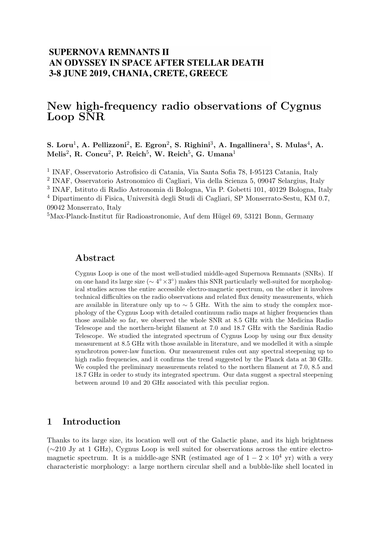## **SUPERNOVA REMNANTS II** AN ODYSSEY IN SPACE AFTER STELLAR DEATH 3-8 JUNE 2019, CHANIA, CRETE, GREECE

# New high-frequency radio observations of Cygnus Loop SNR

S. Loru<sup>1</sup>, A. Pellizzoni<sup>2</sup>, E. Egron<sup>2</sup>, S. Righini<sup>3</sup>, A. Ingallinera<sup>1</sup>, S. Mulas<sup>4</sup>, A.  $\text{Melis}^2$ , R. Concu<sup>2</sup>, P. Reich<sup>5</sup>, W. Reich<sup>5</sup>, G. Umana<sup>1</sup>

1 INAF, Osservatorio Astrofisico di Catania, Via Santa Sofia 78, I-95123 Catania, Italy

2 INAF, Osservatorio Astronomico di Cagliari, Via della Scienza 5, 09047 Selargius, Italy

3 INAF, Istituto di Radio Astronomia di Bologna, Via P. Gobetti 101, 40129 Bologna, Italy

<sup>4</sup> Dipartimento di Fisica, Università degli Studi di Cagliari, SP Monserrato-Sestu, KM 0.7, 09042 Monserrato, Italy

 ${}^{5}$ Max-Planck-Institut für Radioastronomie, Auf dem Hügel 69, 53121 Bonn, Germany

### Abstract

Cygnus Loop is one of the most well-studied middle-aged Supernova Remnants (SNRs). If on one hand its large size ( $\sim$  4° × 3°) makes this SNR particularly well-suited for morphological studies across the entire accessible electro-magnetic spectrum, on the other it involves technical difficulties on the radio observations and related flux density measurements, which are available in literature only up to  $\sim$  5 GHz. With the aim to study the complex morphology of the Cygnus Loop with detailed continuum radio maps at higher frequencies than those available so far, we observed the whole SNR at 8.5 GHz with the Medicina Radio Telescope and the northern-bright filament at 7.0 and 18.7 GHz with the Sardinia Radio Telescope. We studied the integrated spectrum of Cygnus Loop by using our flux density measurement at 8.5 GHz with those available in literature, and we modelled it with a simple synchrotron power-law function. Our measurement rules out any spectral steepening up to high radio frequencies, and it confirms the trend suggested by the Planck data at 30 GHz. We coupled the preliminary measurements related to the northern filament at 7.0, 8.5 and 18.7 GHz in order to study its integrated spectrum. Our data suggest a spectral steepening between around 10 and 20 GHz associated with this peculiar region.

## 1 Introduction

Thanks to its large size, its location well out of the Galactic plane, and its high brightness (∼210 Jy at 1 GHz), Cygnus Loop is well suited for observations across the entire electromagnetic spectrum. It is a middle-age SNR (estimated age of  $1 - 2 \times 10^4$  yr) with a very characteristic morphology: a large northern circular shell and a bubble-like shell located in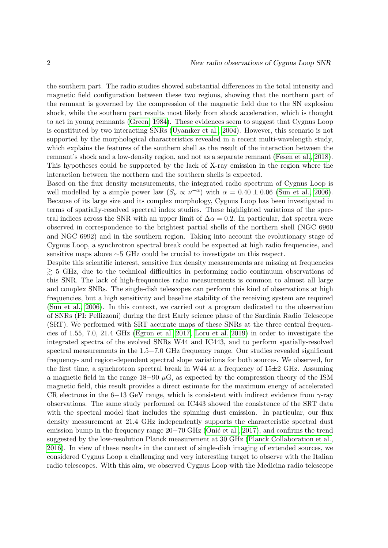the southern part. The radio studies showed substantial differences in the total intensity and magnetic field configuration between these two regions, showing that the northern part of the remnant is governed by the compression of the magnetic field due to the SN explosion shock, while the southern part results most likely from shock acceleration, which is thought to act in young remnants [\(Green, 1984\)](#page-4-0). These evidences seem to suggest that Cygnus Loop is constituted by two interacting SNRs [\(Uyanıker et al., 2004\)](#page-5-0). However, this scenario is not supported by the morphological characteristics revealed in a recent multi-wavelength study, which explains the features of the southern shell as the result of the interaction between the remnant's shock and a low-density region, and not as a separate remnant [\(Fesen et al., 2018\)](#page-4-1). This hypotheses could be supported by the lack of X-ray emission in the region where the interaction between the northern and the southern shells is expected.

Based on the flux density measurements, the integrated radio spectrum of Cygnus Loop is well modelled by a simple power law  $(S_{\nu} \propto \nu^{-\alpha})$  with  $\alpha = 0.40 \pm 0.06$  [\(Sun et al., 2006\)](#page-5-1). Because of its large size and its complex morphology, Cygnus Loop has been investigated in terms of spatially-resolved spectral index studies. These highlighted variations of the spectral indices across the SNR with an upper limit of  $\Delta \alpha = 0.2$ . In particular, flat spectra were observed in correspondence to the brightest partial shells of the northern shell (NGC 6960 and NGC 6992) and in the southern region. Taking into account the evolutionary stage of Cygnus Loop, a synchrotron spectral break could be expected at high radio frequencies, and sensitive maps above ∼5 GHz could be crucial to investigate on this respect.

Despite this scientific interest, sensitive flux density measurements are missing at frequencies  $\gtrsim$  5 GHz, due to the technical difficulties in performing radio continuum observations of this SNR. The lack of high-frequencies radio measurements is common to almost all large and complex SNRs. The single-dish telescopes can perform this kind of observations at high frequencies, but a high sensitivity and baseline stability of the receiving system are required [\(Sun et al., 2006\)](#page-5-1). In this context, we carried out a program dedicated to the observation of SNRs (PI: Pellizzoni) during the first Early science phase of the Sardinia Radio Telescope (SRT). We performed with SRT accurate maps of these SNRs at the three central frequencies of 1.55, 7.0, 21.4 GHz [\(Egron et al. 2017,](#page-4-2) [Loru et al. 2019\)](#page-4-3) in order to investigate the integrated spectra of the evolved SNRs W44 and IC443, and to perform spatially-resolved spectral measurements in the 1.5−7.0 GHz frequency range. Our studies revealed significant frequency- and region-dependent spectral slope variations for both sources. We observed, for the first time, a synchrotron spectral break in W44 at a frequency of  $15\pm2$  GHz. Assuming a magnetic field in the range  $18-90 \mu$ G, as expected by the compression theory of the ISM magnetic field, this result provides a direct estimate for the maximum energy of accelerated CR electrons in the 6−13 GeV range, which is consistent with indirect evidence from  $\gamma$ -ray observations. The same study performed on IC443 showed the consistence of the SRT data with the spectral model that includes the spinning dust emission. In particular, our flux density measurement at 21.4 GHz independently supports the characteristic spectral dust emission bump in the frequency range  $20-70$  GHz (Onić et al., 2017), and confirms the trend suggested by the low-resolution Planck measurement at 30 GHz [\(Planck Collaboration et al.,](#page-5-3) [2016\)](#page-5-3). In view of these results in the context of single-dish imaging of extended sources, we considered Cygnus Loop a challenging and very interesting target to observe with the Italian radio telescopes. With this aim, we observed Cygnus Loop with the Medicina radio telescope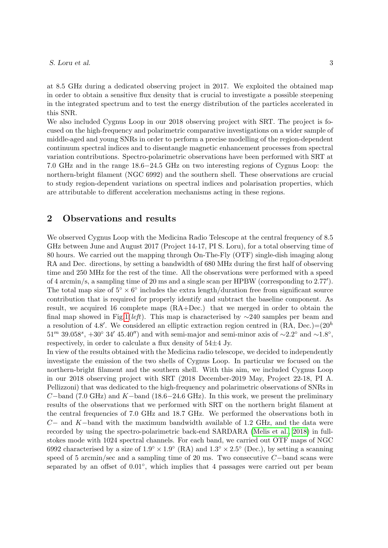#### S. Loru et al.  $\frac{3}{3}$

at 8.5 GHz during a dedicated observing project in 2017. We exploited the obtained map in order to obtain a sensitive flux density that is crucial to investigate a possible steepening in the integrated spectrum and to test the energy distribution of the particles accelerated in this SNR.

We also included Cygnus Loop in our 2018 observing project with SRT. The project is focused on the high-frequency and polarimetric comparative investigations on a wider sample of middle-aged and young SNRs in order to perform a precise modelling of the region-dependent continuum spectral indices and to disentangle magnetic enhancement processes from spectral variation contributions. Spectro-polarimetric observations have been performed with SRT at 7.0 GHz and in the range 18.6−24.5 GHz on two interesting regions of Cygnus Loop: the northern-bright filament (NGC 6992) and the southern shell. These observations are crucial to study region-dependent variations on spectral indices and polarisation properties, which are attributable to different acceleration mechanisms acting in these regions.

#### 2 Observations and results

We observed Cygnus Loop with the Medicina Radio Telescope at the central frequency of 8.5 GHz between June and August 2017 (Project 14-17, PI S. Loru), for a total observing time of 80 hours. We carried out the mapping through On-The-Fly (OTF) single-dish imaging along RA and Dec. directions, by setting a bandwidth of 680 MHz during the first half of observing time and 250 MHz for the rest of the time. All the observations were performed with a speed of 4 arcmin/s, a sampling time of 20 ms and a single scan per HPBW (corresponding to  $2.77'$ ). The total map size of  $5° \times 6°$  includes the extra length/duration free from significant source contribution that is required for properly identify and subtract the baseline component. As result, we acquired 16 complete maps (RA+Dec.) that we merged in order to obtain the final map showed in Fig[.1\(](#page-4-4)left). This map is characterised by  $\sim$ 240 samples per beam and a resolution of 4.8'. We considered an elliptic extraction region centred in  $(RA, Dec.) = (20<sup>h</sup>)$  $51^m$  39.058<sup>s</sup>,  $+30°$  34' 45.40") and with semi-major and semi-minor axis of ~2.2° and ~1.8°, respectively, in order to calculate a flux density of  $54\pm4$  Jy.

In view of the results obtained with the Medicina radio telescope, we decided to independently investigate the emission of the two shells of Cygnus Loop. In particular we focused on the northern-bright filament and the southern shell. With this aim, we included Cygnus Loop in our 2018 observing project with SRT (2018 December-2019 May, Project 22-18, PI A. Pellizzoni) that was dedicated to the high-frequency and polarimetric observations of SNRs in C−band (7.0 GHz) and K−band (18.6−24.6 GHz). In this work, we present the preliminary results of the observations that we performed with SRT on the northern bright filament at the central frequencies of 7.0 GHz and 18.7 GHz. We performed the observations both in C− and K−band with the maximum bandwidth available of 1.2 GHz, and the data were recorded by using the spectro-polarimetric back-end SARDARA [\(Melis et al., 2018\)](#page-4-5) in fullstokes mode with 1024 spectral channels. For each band, we carried out OTF maps of NGC 6992 characterised by a size of  $1.9^{\circ} \times 1.9^{\circ}$  (RA) and  $1.3^{\circ} \times 2.5^{\circ}$  (Dec.), by setting a scanning speed of 5 arcmin/sec and a sampling time of 20 ms. Two consecutive C−band scans were separated by an offset of  $0.01^{\circ}$ , which implies that 4 passages were carried out per beam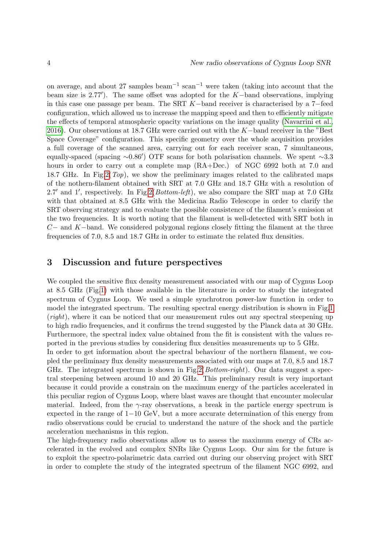on average, and about 27 samples beam−<sup>1</sup> scan−<sup>1</sup> were taken (taking into account that the beam size is 2.77'). The same offset was adopted for the  $K$ -band observations, implying in this case one passage per beam. The SRT K−band receiver is characterised by a 7−feed configuration, which allowed us to increase the mapping speed and then to efficiently mitigate the effects of temporal atmospheric opacity variations on the image quality [\(Navarrini et al.,](#page-4-6) [2016\)](#page-4-6). Our observations at 18.7 GHz were carried out with the K−band receiver in the "Best Space Coverage" configuration. This specific geometry over the whole acquisition provides a full coverage of the scanned area, carrying out for each receiver scan, 7 simultaneous, equally-spaced (spacing  $\sim 0.86'$ ) OTF scans for both polarisation channels. We spent  $\sim 3.3$ hours in order to carry out a complete map  $(RA+Dec.)$  of NGC 6992 both at 7.0 and 18.7 GHz. In Fig.  $2(Top)$ , we show the preliminary images related to the calibrated maps of the nothern-filament obtained with SRT at 7.0 GHz and 18.7 GHz with a resolution of 2.7' and 1', respectively. In Fig[.2\(](#page-5-4) $Bottom-left$ ), we also compare the SRT map at 7.0 GHz with that obtained at 8.5 GHz with the Medicina Radio Telescope in order to clarify the SRT observing strategy and to evaluate the possible consistence of the filament's emission at the two frequencies. It is worth noting that the filament is well-detected with SRT both in  $C-$  and K−band. We considered polygonal regions closely fitting the filament at the three frequencies of 7.0, 8.5 and 18.7 GHz in order to estimate the related flux densities.

### 3 Discussion and future perspectives

We coupled the sensitive flux density measurement associated with our map of Cygnus Loop at 8.5 GHz (Fig[.1\)](#page-4-4) with those available in the literature in order to study the integrated spectrum of Cygnus Loop. We used a simple synchrotron power-law function in order to model the integrated spectrum. The resulting spectral energy distribution is shown in Fig[.1](#page-4-4) (right), where it can be noticed that our measurement rules out any spectral steepening up to high radio frequencies, and it confirms the trend suggested by the Planck data at 30 GHz. Furthermore, the spectral index value obtained from the fit is consistent with the values reported in the previous studies by considering flux densities measurements up to 5 GHz.

In order to get information about the spectral behaviour of the northern filament, we coupled the preliminary flux density measurements associated with our maps at 7.0, 8.5 and 18.7 GHz. The integrated spectrum is shown in Fig. 2( $Bottom-right$ ). Our data suggest a spectral steepening between around 10 and 20 GHz. This preliminary result is very important because it could provide a constrain on the maximum energy of the particles accelerated in this peculiar region of Cygnus Loop, where blast waves are thought that encounter molecular material. Indeed, from the  $\gamma$ -ray observations, a break in the particle energy spectrum is expected in the range of 1−10 GeV, but a more accurate determination of this energy from radio observations could be crucial to understand the nature of the shock and the particle acceleration mechanisms in this region.

The high-frequency radio observations allow us to assess the maximum energy of CRs accelerated in the evolved and complex SNRs like Cygnus Loop. Our aim for the future is to exploit the spectro-polarimetric data carried out during our observing project with SRT in order to complete the study of the integrated spectrum of the filament NGC 6992, and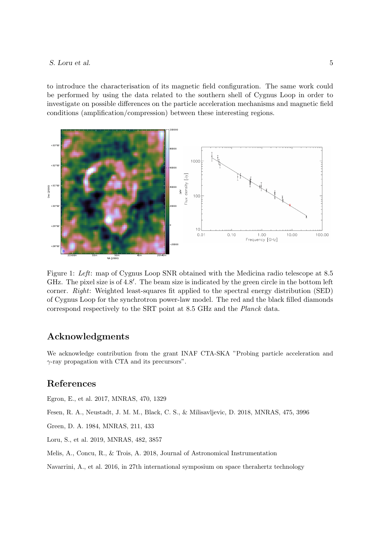#### S. Loru et al. 5

to introduce the characterisation of its magnetic field configuration. The same work could be performed by using the data related to the southern shell of Cygnus Loop in order to investigate on possible differences on the particle acceleration mechanisms and magnetic field conditions (amplification/compression) between these interesting regions.



<span id="page-4-4"></span>Figure 1: Left: map of Cygnus Loop SNR obtained with the Medicina radio telescope at 8.5 GHz. The pixel size is of 4.8'. The beam size is indicated by the green circle in the bottom left corner. Right: Weighted least-squares fit applied to the spectral energy distribution (SED) of Cygnus Loop for the synchrotron power-law model. The red and the black filled diamonds correspond respectively to the SRT point at 8.5 GHz and the Planck data.

#### Acknowledgments

We acknowledge contribution from the grant INAF CTA-SKA "Probing particle acceleration and  $\gamma$ -ray propagation with CTA and its precursors".

### References

<span id="page-4-2"></span>Egron, E., et al. 2017, MNRAS, 470, 1329

<span id="page-4-1"></span>Fesen, R. A., Neustadt, J. M. M., Black, C. S., & Milisavljevic, D. 2018, MNRAS, 475, 3996

<span id="page-4-0"></span>Green, D. A. 1984, MNRAS, 211, 433

<span id="page-4-3"></span>Loru, S., et al. 2019, MNRAS, 482, 3857

<span id="page-4-5"></span>Melis, A., Concu, R., & Trois, A. 2018, Journal of Astronomical Instrumentation

<span id="page-4-6"></span>Navarrini, A., et al. 2016, in 27th international symposium on space therahertz technology